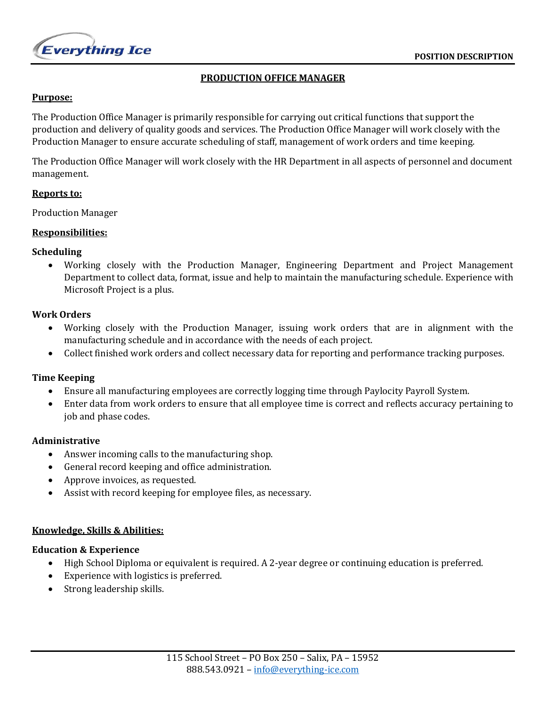

# **PRODUCTION OFFICE MANAGER**

#### **Purpose:**

The Production Office Manager is primarily responsible for carrying out critical functions that support the production and delivery of quality goods and services. The Production Office Manager will work closely with the Production Manager to ensure accurate scheduling of staff, management of work orders and time keeping.

The Production Office Manager will work closely with the HR Department in all aspects of personnel and document management.

#### **Reports to:**

Production Manager

## **Responsibilities:**

## **Scheduling**

• Working closely with the Production Manager, Engineering Department and Project Management Department to collect data, format, issue and help to maintain the manufacturing schedule. Experience with Microsoft Project is a plus.

## **Work Orders**

- Working closely with the Production Manager, issuing work orders that are in alignment with the manufacturing schedule and in accordance with the needs of each project.
- Collect finished work orders and collect necessary data for reporting and performance tracking purposes.

# **Time Keeping**

- Ensure all manufacturing employees are correctly logging time through Paylocity Payroll System.
- Enter data from work orders to ensure that all employee time is correct and reflects accuracy pertaining to job and phase codes.

#### **Administrative**

- Answer incoming calls to the manufacturing shop.
- General record keeping and office administration.
- Approve invoices, as requested.
- Assist with record keeping for employee files, as necessary.

#### **Knowledge, Skills & Abilities:**

## **Education & Experience**

- High School Diploma or equivalent is required. A 2-year degree or continuing education is preferred.
- Experience with logistics is preferred.
- Strong leadership skills.